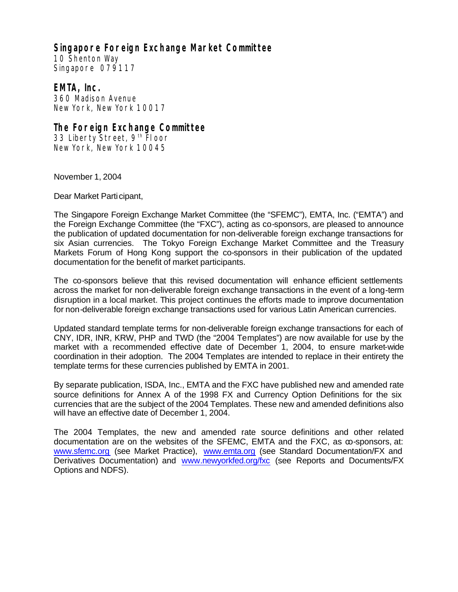## **Singapore Foreign Exchange Market Committee**

10 Shenton Way Singapore 079117

## **EMTA, Inc.**

360 Madison Avenue New York, New York 10017

## **The Foreign Exchange Committee**

33 Liberty Street, 9<sup>th</sup> Floor New York, New York 10045

November 1, 2004

Dear Market Participant,

The Singapore Foreign Exchange Market Committee (the "SFEMC"), EMTA, Inc. ("EMTA") and the Foreign Exchange Committee (the "FXC"), acting as co-sponsors, are pleased to announce the publication of updated documentation for non-deliverable foreign exchange transactions for six Asian currencies. The Tokyo Foreign Exchange Market Committee and the Treasury Markets Forum of Hong Kong support the co-sponsors in their publication of the updated documentation for the benefit of market participants.

The co-sponsors believe that this revised documentation will enhance efficient settlements across the market for non-deliverable foreign exchange transactions in the event of a long-term disruption in a local market. This project continues the efforts made to improve documentation for non-deliverable foreign exchange transactions used for various Latin American currencies.

Updated standard template terms for non-deliverable foreign exchange transactions for each of CNY, IDR, INR, KRW, PHP and TWD (the "2004 Templates") are now available for use by the market with a recommended effective date of December 1, 2004, to ensure market-wide coordination in their adoption. The 2004 Templates are intended to replace in their entirety the template terms for these currencies published by EMTA in 2001.

By separate publication, ISDA, Inc., EMTA and the FXC have published new and amended rate source definitions for Annex A of the 1998 FX and Currency Option Definitions for the six currencies that are the subject of the 2004 Templates. These new and amended definitions also will have an effective date of December 1, 2004.

The 2004 Templates, the new and amended rate source definitions and other related documentation are on the websites of the SFEMC, EMTA and the FXC, as  $\infty$ -sponsors, at: www.sfemc.org (see Market Practice), www.emta.org (see Standard Documentation/FX and Derivatives Documentation) and www.newyorkfed.org/fxc (see Reports and Documents/FX Options and NDFS).